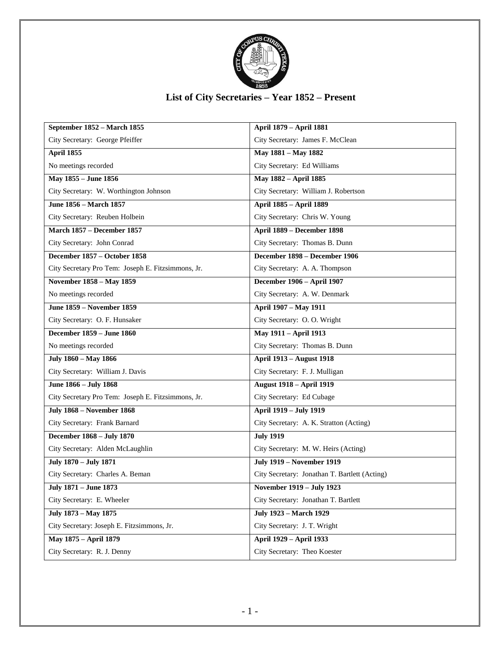

## **List of City Secretaries – Year 1852 – Present**

| September 1852 - March 1855                        | April 1879 - April 1881                       |
|----------------------------------------------------|-----------------------------------------------|
| City Secretary: George Pfeiffer                    | City Secretary: James F. McClean              |
| April 1855                                         | May 1881 - May 1882                           |
| No meetings recorded                               | City Secretary: Ed Williams                   |
| May 1855 - June 1856                               | May 1882 - April 1885                         |
| City Secretary: W. Worthington Johnson             | City Secretary: William J. Robertson          |
| June 1856 - March 1857                             | April 1885 - April 1889                       |
| City Secretary: Reuben Holbein                     | City Secretary: Chris W. Young                |
| <b>March 1857 - December 1857</b>                  | April 1889 - December 1898                    |
| City Secretary: John Conrad                        | City Secretary: Thomas B. Dunn                |
| December 1857 - October 1858                       | December 1898 - December 1906                 |
| City Secretary Pro Tem: Joseph E. Fitzsimmons, Jr. | City Secretary: A. A. Thompson                |
| November 1858 - May 1859                           | December 1906 - April 1907                    |
| No meetings recorded                               | City Secretary: A. W. Denmark                 |
| June 1859 - November 1859                          | April 1907 - May 1911                         |
| City Secretary: O. F. Hunsaker                     | City Secretary: O.O. Wright                   |
| <b>December 1859 - June 1860</b>                   | May 1911 - April 1913                         |
| No meetings recorded                               | City Secretary: Thomas B. Dunn                |
| July 1860 - May 1866                               | <b>April 1913 – August 1918</b>               |
| City Secretary: William J. Davis                   | City Secretary: F. J. Mulligan                |
| June 1866 - July 1868                              | <b>August 1918 - April 1919</b>               |
| City Secretary Pro Tem: Joseph E. Fitzsimmons, Jr. | City Secretary: Ed Cubage                     |
| <b>July 1868 - November 1868</b>                   | April 1919 - July 1919                        |
| City Secretary: Frank Barnard                      | City Secretary: A. K. Stratton (Acting)       |
| December 1868 - July 1870                          | <b>July 1919</b>                              |
| City Secretary: Alden McLaughlin                   | City Secretary: M. W. Heirs (Acting)          |
| July 1870 - July 1871                              | <b>July 1919 - November 1919</b>              |
| City Secretary: Charles A. Beman                   | City Secretary: Jonathan T. Bartlett (Acting) |
| July 1871 - June 1873                              | November 1919 - July 1923                     |
| City Secretary: E. Wheeler                         | City Secretary: Jonathan T. Bartlett          |
| July 1873 - May 1875                               | <b>July 1923 - March 1929</b>                 |
| City Secretary: Joseph E. Fitzsimmons, Jr.         | City Secretary: J. T. Wright                  |
| May 1875 - April 1879                              | <b>April 1929 - April 1933</b>                |
| City Secretary: R. J. Denny                        | City Secretary: Theo Koester                  |